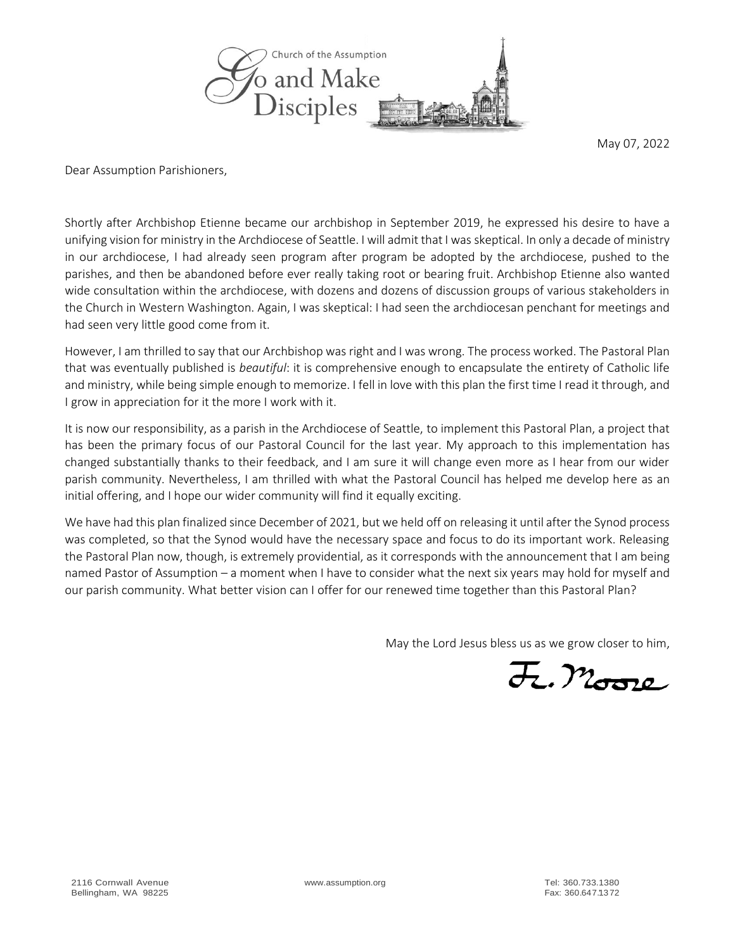

May 07, 2022

Dear Assumption Parishioners,

Shortly after Archbishop Etienne became our archbishop in September 2019, he expressed his desire to have a unifying vision for ministry in the Archdiocese of Seattle. I will admit that I was skeptical. In only a decade of ministry in our archdiocese, I had already seen program after program be adopted by the archdiocese, pushed to the parishes, and then be abandoned before ever really taking root or bearing fruit. Archbishop Etienne also wanted wide consultation within the archdiocese, with dozens and dozens of discussion groups of various stakeholders in the Church in Western Washington. Again, I was skeptical: I had seen the archdiocesan penchant for meetings and had seen very little good come from it.

However, I am thrilled to say that our Archbishop was right and I was wrong. The process worked. The Pastoral Plan that was eventually published is *beautiful*: it is comprehensive enough to encapsulate the entirety of Catholic life and ministry, while being simple enough to memorize. I fell in love with this plan the first time I read it through, and I grow in appreciation for it the more I work with it.

It is now our responsibility, as a parish in the Archdiocese of Seattle, to implement this Pastoral Plan, a project that has been the primary focus of our Pastoral Council for the last year. My approach to this implementation has changed substantially thanks to their feedback, and I am sure it will change even more as I hear from our wider parish community. Nevertheless, I am thrilled with what the Pastoral Council has helped me develop here as an initial offering, and I hope our wider community will find it equally exciting.

We have had this plan finalized since December of 2021, but we held off on releasing it until after the Synod process was completed, so that the Synod would have the necessary space and focus to do its important work. Releasing the Pastoral Plan now, though, is extremely providential, as it corresponds with the announcement that I am being named Pastor of Assumption – a moment when I have to consider what the next six years may hold for myself and our parish community. What better vision can I offer for our renewed time together than this Pastoral Plan?

May the Lord Jesus bless us as we grow closer to him,

F. Moore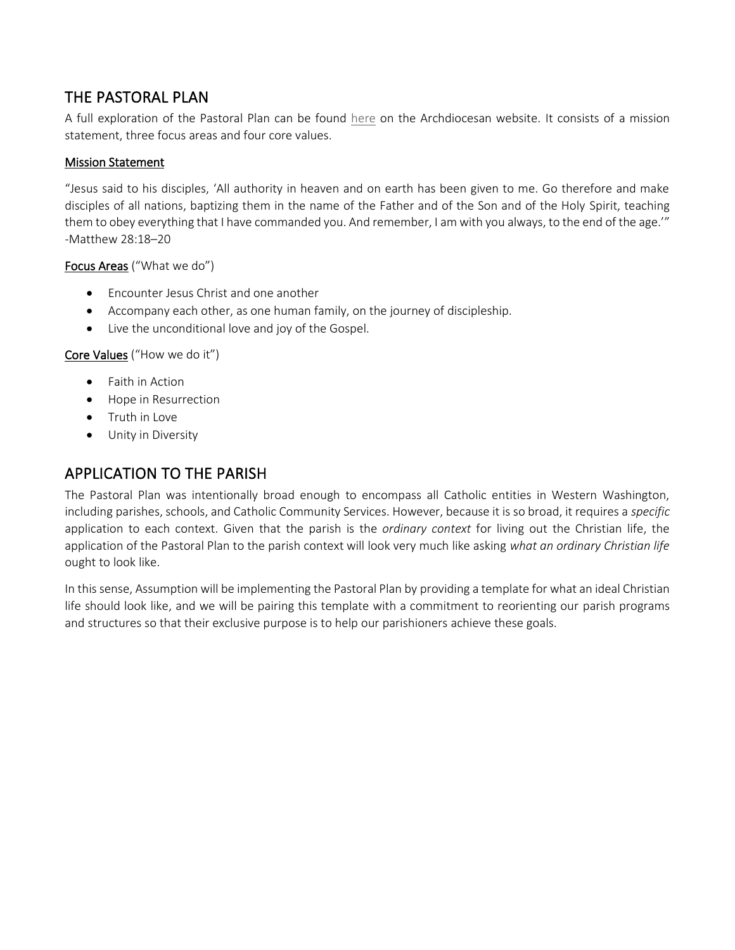## THE PASTORAL PLAN

A full exploration of the Pastoral Plan can be found [here](https://archseattle.org/about-the-archdiocese-of-seattle/archbishop-etienne/pastoralplanning/pastoral-plan/) on the Archdiocesan website. It consists of a mission statement, three focus areas and four core values.

#### Mission Statement

"Jesus said to his disciples, 'All authority in heaven and on earth has been given to me. Go therefore and make disciples of all nations, baptizing them in the name of the Father and of the Son and of the Holy Spirit, teaching them to obey everything that I have commanded you. And remember, I am with you always, to the end of the age.'" -Matthew 28:18–20

#### Focus Areas ("What we do")

- Encounter Jesus Christ and one another
- Accompany each other, as one human family, on the journey of discipleship.
- Live the unconditional love and joy of the Gospel.

#### Core Values ("How we do it")

- Faith in Action
- Hope in Resurrection
- Truth in Love
- Unity in Diversity

#### APPLICATION TO THE PARISH

The Pastoral Plan was intentionally broad enough to encompass all Catholic entities in Western Washington, including parishes, schools, and Catholic Community Services. However, because it is so broad, it requires a *specific* application to each context. Given that the parish is the *ordinary context* for living out the Christian life, the application of the Pastoral Plan to the parish context will look very much like asking *what an ordinary Christian life* ought to look like.

In this sense, Assumption will be implementing the Pastoral Plan by providing a template for what an ideal Christian life should look like, and we will be pairing this template with a commitment to reorienting our parish programs and structures so that their exclusive purpose is to help our parishioners achieve these goals.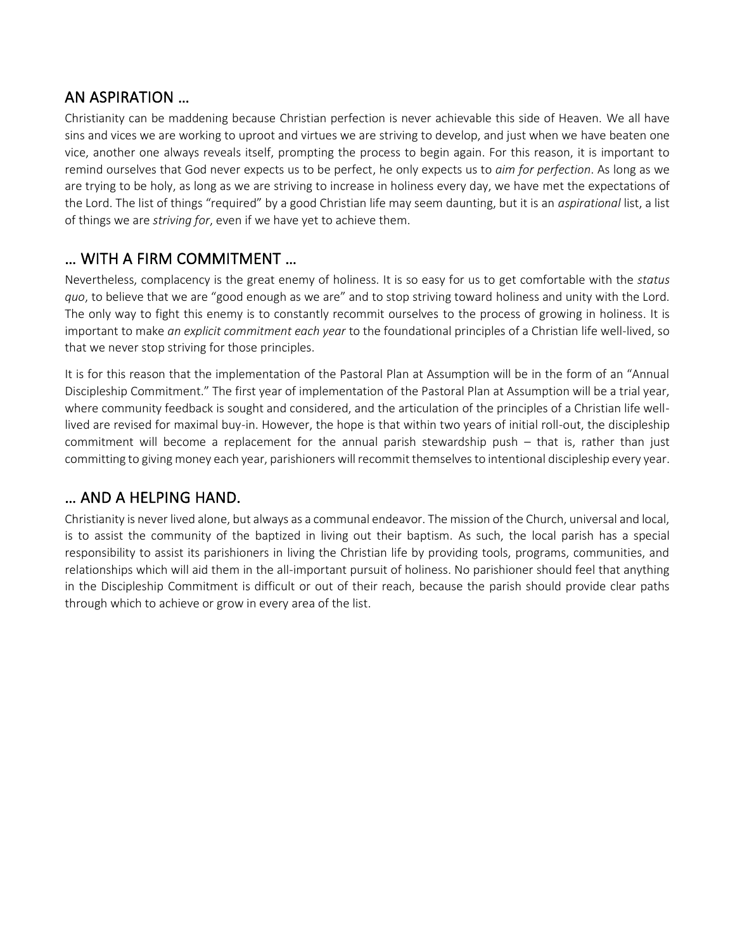## AN ASPIRATION …

Christianity can be maddening because Christian perfection is never achievable this side of Heaven. We all have sins and vices we are working to uproot and virtues we are striving to develop, and just when we have beaten one vice, another one always reveals itself, prompting the process to begin again. For this reason, it is important to remind ourselves that God never expects us to be perfect, he only expects us to *aim for perfection*. As long as we are trying to be holy, as long as we are striving to increase in holiness every day, we have met the expectations of the Lord. The list of things "required" by a good Christian life may seem daunting, but it is an *aspirational* list, a list of things we are *striving for*, even if we have yet to achieve them.

## … WITH A FIRM COMMITMENT …

Nevertheless, complacency is the great enemy of holiness. It is so easy for us to get comfortable with the *status quo*, to believe that we are "good enough as we are" and to stop striving toward holiness and unity with the Lord. The only way to fight this enemy is to constantly recommit ourselves to the process of growing in holiness. It is important to make *an explicit commitment each year* to the foundational principles of a Christian life well-lived, so that we never stop striving for those principles.

It is for this reason that the implementation of the Pastoral Plan at Assumption will be in the form of an "Annual Discipleship Commitment." The first year of implementation of the Pastoral Plan at Assumption will be a trial year, where community feedback is sought and considered, and the articulation of the principles of a Christian life welllived are revised for maximal buy-in. However, the hope is that within two years of initial roll-out, the discipleship commitment will become a replacement for the annual parish stewardship push – that is, rather than just committing to giving money each year, parishioners will recommit themselves to intentional discipleship every year.

## … AND A HELPING HAND.

Christianity is never lived alone, but always as a communal endeavor. The mission of the Church, universal and local, is to assist the community of the baptized in living out their baptism. As such, the local parish has a special responsibility to assist its parishioners in living the Christian life by providing tools, programs, communities, and relationships which will aid them in the all-important pursuit of holiness. No parishioner should feel that anything in the Discipleship Commitment is difficult or out of their reach, because the parish should provide clear paths through which to achieve or grow in every area of the list.